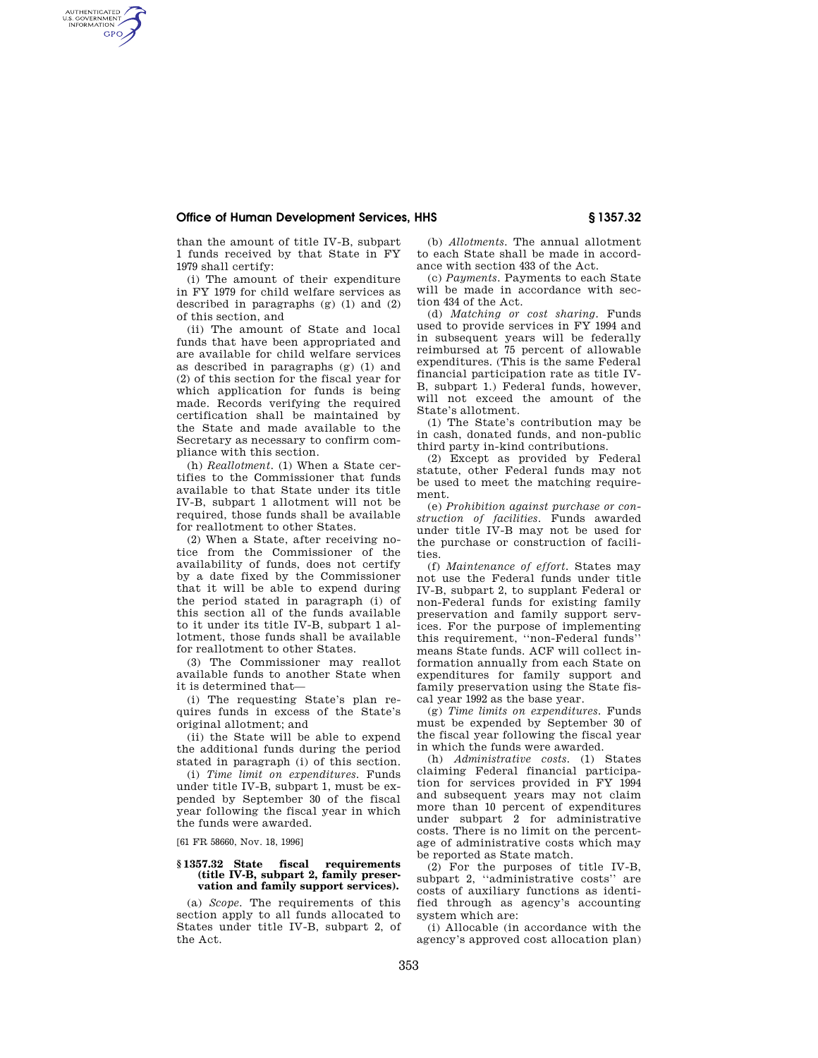## **Office of Human Development Services, HHS § 1357.32**

than the amount of title IV-B, subpart 1 funds received by that State in FY 1979 shall certify:

AUTHENTICATED<br>U.S. GOVERNMENT<br>INFORMATION **GPO** 

> (i) The amount of their expenditure in FY 1979 for child welfare services as described in paragraphs  $(g)$  (1) and (2) of this section, and

> (ii) The amount of State and local funds that have been appropriated and are available for child welfare services as described in paragraphs (g) (1) and (2) of this section for the fiscal year for which application for funds is being made. Records verifying the required certification shall be maintained by the State and made available to the Secretary as necessary to confirm compliance with this section.

> (h) *Reallotment.* (1) When a State certifies to the Commissioner that funds available to that State under its title IV-B, subpart 1 allotment will not be required, those funds shall be available for reallotment to other States.

> (2) When a State, after receiving notice from the Commissioner of the availability of funds, does not certify by a date fixed by the Commissioner that it will be able to expend during the period stated in paragraph (i) of this section all of the funds available to it under its title IV-B, subpart 1 allotment, those funds shall be available for reallotment to other States.

(3) The Commissioner may reallot available funds to another State when it is determined that—

(i) The requesting State's plan requires funds in excess of the State's original allotment; and

(ii) the State will be able to expend the additional funds during the period stated in paragraph (i) of this section.

(i) *Time limit on expenditures.* Funds under title IV-B, subpart 1, must be expended by September 30 of the fiscal year following the fiscal year in which the funds were awarded.

[61 FR 58660, Nov. 18, 1996]

## **§ 1357.32 State fiscal requirements (title IV-B, subpart 2, family preservation and family support services).**

(a) *Scope.* The requirements of this section apply to all funds allocated to States under title IV-B, subpart 2, of the Act.

(b) *Allotments.* The annual allotment to each State shall be made in accordance with section 433 of the Act.

(c) *Payments.* Payments to each State will be made in accordance with section 434 of the Act.

(d) *Matching or cost sharing.* Funds used to provide services in FY 1994 and in subsequent years will be federally reimbursed at 75 percent of allowable expenditures. (This is the same Federal financial participation rate as title IV-B, subpart 1.) Federal funds, however, will not exceed the amount of the State's allotment.

(1) The State's contribution may be in cash, donated funds, and non-public third party in-kind contributions.

(2) Except as provided by Federal statute, other Federal funds may not be used to meet the matching requirement.

(e) *Prohibition against purchase or construction of facilities.* Funds awarded under title IV-B may not be used for the purchase or construction of facilities.

(f) *Maintenance of effort.* States may not use the Federal funds under title IV-B, subpart 2, to supplant Federal or non-Federal funds for existing family preservation and family support services. For the purpose of implementing this requirement, ''non-Federal funds'' means State funds. ACF will collect information annually from each State on expenditures for family support and family preservation using the State fiscal year 1992 as the base year.

(g) *Time limits on expenditures.* Funds must be expended by September 30 of the fiscal year following the fiscal year in which the funds were awarded.

(h) *Administrative costs.* (1) States claiming Federal financial participation for services provided in FY 1994 and subsequent years may not claim more than 10 percent of expenditures under subpart 2 for administrative costs. There is no limit on the percentage of administrative costs which may be reported as State match.

(2) For the purposes of title IV-B, subpart 2, ''administrative costs'' are costs of auxiliary functions as identified through as agency's accounting system which are:

(i) Allocable (in accordance with the agency's approved cost allocation plan)